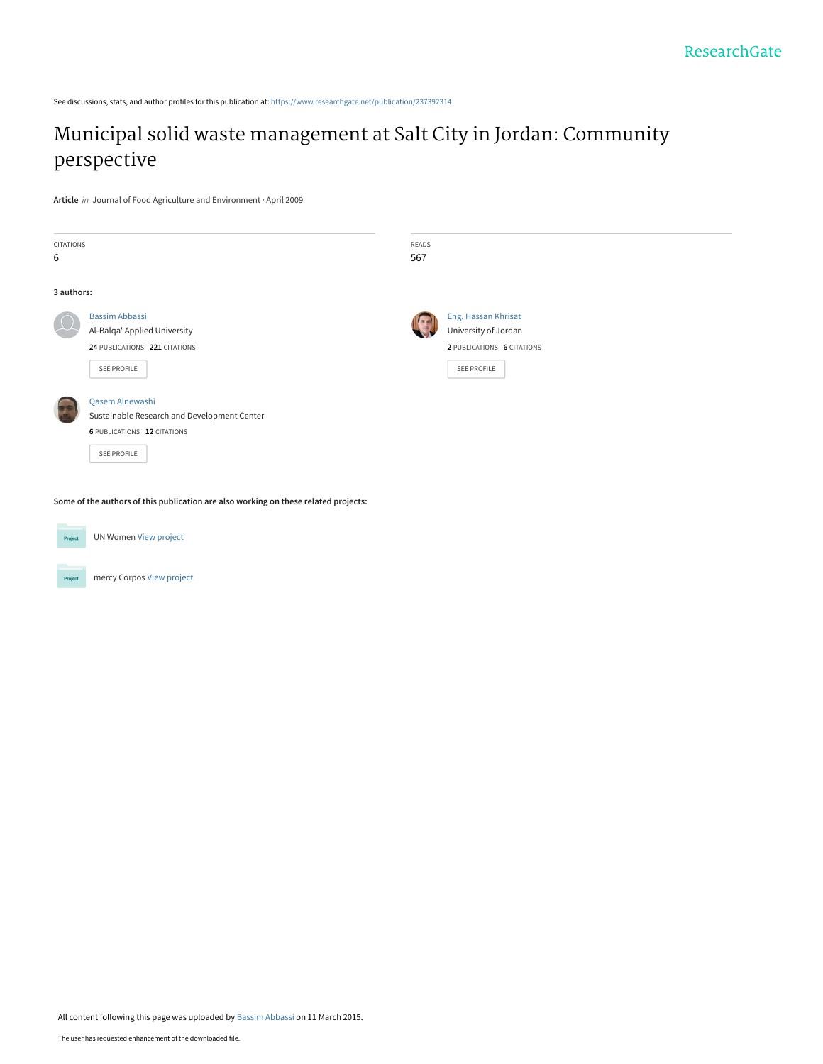See discussions, stats, and author profiles for this publication at: [https://www.researchgate.net/publication/237392314](https://www.researchgate.net/publication/237392314_Municipal_solid_waste_management_at_Salt_City_in_Jordan_Community_perspective?enrichId=rgreq-7c089493c92fa852419ea17cb029ef75-XXX&enrichSource=Y292ZXJQYWdlOzIzNzM5MjMxNDtBUzoyMDU4NjI3NDk2NDI3NTRAMTQyNjA5MjkxMjg2MA%3D%3D&el=1_x_2&_esc=publicationCoverPdf)

# [Municipal solid waste management at Salt City in Jordan: Community](https://www.researchgate.net/publication/237392314_Municipal_solid_waste_management_at_Salt_City_in_Jordan_Community_perspective?enrichId=rgreq-7c089493c92fa852419ea17cb029ef75-XXX&enrichSource=Y292ZXJQYWdlOzIzNzM5MjMxNDtBUzoyMDU4NjI3NDk2NDI3NTRAMTQyNjA5MjkxMjg2MA%3D%3D&el=1_x_3&_esc=publicationCoverPdf) perspective

**Article** in Journal of Food Agriculture and Environment · April 2009

| CITATIONS<br>6 |                                                                                                                     | READS<br>567 |                                                                                                 |
|----------------|---------------------------------------------------------------------------------------------------------------------|--------------|-------------------------------------------------------------------------------------------------|
| 3 authors:     |                                                                                                                     |              |                                                                                                 |
|                | <b>Bassim Abbassi</b><br>Al-Balqa' Applied University<br>24 PUBLICATIONS 221 CITATIONS<br>SEE PROFILE               |              | Eng. Hassan Khrisat<br>University of Jordan<br>2 PUBLICATIONS 6 CITATIONS<br><b>SEE PROFILE</b> |
|                | Qasem Alnewashi<br>Sustainable Research and Development Center<br><b>6 PUBLICATIONS 12 CITATIONS</b><br>SEE PROFILE |              |                                                                                                 |

**Some of the authors of this publication are also working on these related projects:**



UN Women [View project](https://www.researchgate.net/project/UN-Women?enrichId=rgreq-7c089493c92fa852419ea17cb029ef75-XXX&enrichSource=Y292ZXJQYWdlOzIzNzM5MjMxNDtBUzoyMDU4NjI3NDk2NDI3NTRAMTQyNjA5MjkxMjg2MA%3D%3D&el=1_x_9&_esc=publicationCoverPdf)



mercy Corpos [View project](https://www.researchgate.net/project/mercy-Corpos?enrichId=rgreq-7c089493c92fa852419ea17cb029ef75-XXX&enrichSource=Y292ZXJQYWdlOzIzNzM5MjMxNDtBUzoyMDU4NjI3NDk2NDI3NTRAMTQyNjA5MjkxMjg2MA%3D%3D&el=1_x_9&_esc=publicationCoverPdf)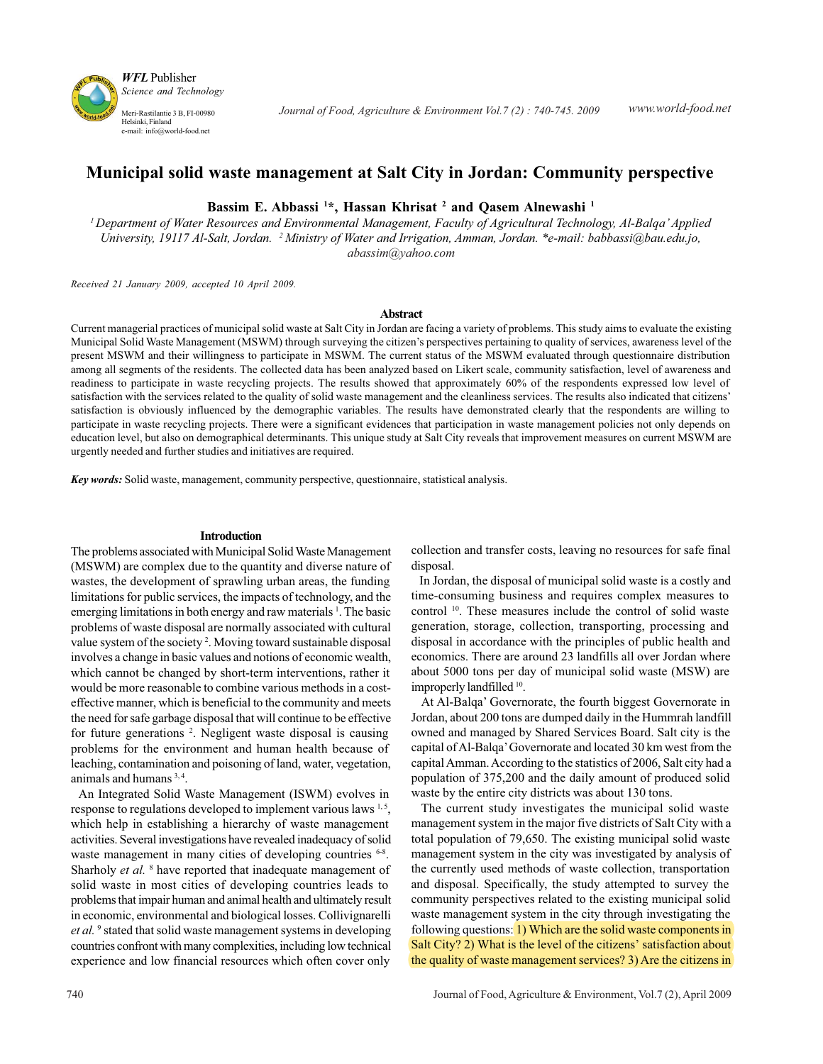

# **Municipal solid waste management at Salt City in Jordan: Community perspective**

**Bassim E. Abbassi 1 \*, Hassan Khrisat 2 and Qasem Alnewashi 1**

*1 Department of Water Resources and Environmental Management, Faculty of Agricultural Technology, Al-Balqa' Applied University, 19117 Al-Salt, Jordan. 2 Ministry of Water and Irrigation, Amman, Jordan. \*e-mail: babbassi@bau.edu.jo, abassim@yahoo.com*

*Received 21 January 2009, accepted 10 April 2009.*

#### **Abstract**

Current managerial practices of municipal solid waste at Salt City in Jordan are facing a variety of problems. This study aims to evaluate the existing Municipal Solid Waste Management (MSWM) through surveying the citizen's perspectives pertaining to quality of services, awareness level of the present MSWM and their willingness to participate in MSWM. The current status of the MSWM evaluated through questionnaire distribution among all segments of the residents. The collected data has been analyzed based on Likert scale, community satisfaction, level of awareness and readiness to participate in waste recycling projects. The results showed that approximately 60% of the respondents expressed low level of satisfaction with the services related to the quality of solid waste management and the cleanliness services. The results also indicated that citizens' satisfaction is obviously influenced by the demographic variables. The results have demonstrated clearly that the respondents are willing to participate in waste recycling projects. There were a significant evidences that participation in waste management policies not only depends on education level, but also on demographical determinants. This unique study at Salt City reveals that improvement measures on current MSWM are urgently needed and further studies and initiatives are required.

*Key words:* Solid waste, management, community perspective, questionnaire, statistical analysis.

#### **Introduction**

The problems associated with Municipal Solid Waste Management (MSWM) are complex due to the quantity and diverse nature of wastes, the development of sprawling urban areas, the funding limitations for public services, the impacts of technology, and the emerging limitations in both energy and raw materials<sup>1</sup>. The basic problems of waste disposal are normally associated with cultural value system of the society<sup>2</sup>. Moving toward sustainable disposal involves a change in basic values and notions of economic wealth, which cannot be changed by short-term interventions, rather it would be more reasonable to combine various methods in a costeffective manner, which is beneficial to the community and meets the need for safe garbage disposal that will continue to be effective for future generations <sup>2</sup>. Negligent waste disposal is causing problems for the environment and human health because of leaching, contamination and poisoning of land, water, vegetation, animals and humans 3, 4.

 An Integrated Solid Waste Management (ISWM) evolves in response to regulations developed to implement various laws <sup>1,5</sup>, which help in establishing a hierarchy of waste management activities. Several investigations have revealed inadequacy of solid waste management in many cities of developing countries <sup>6-8</sup>. Sharholy *et al.* <sup>8</sup> have reported that inadequate management of solid waste in most cities of developing countries leads to problems that impair human and animal health and ultimately result in economic, environmental and biological losses. Collivignarelli et al.<sup>9</sup> stated that solid waste management systems in developing countries confront with many complexities, including low technical experience and low financial resources which often cover only

collection and transfer costs, leaving no resources for safe final disposal.

 In Jordan, the disposal of municipal solid waste is a costly and time-consuming business and requires complex measures to control <sup>10</sup>. These measures include the control of solid waste generation, storage, collection, transporting, processing and disposal in accordance with the principles of public health and economics. There are around 23 landfills all over Jordan where about 5000 tons per day of municipal solid waste (MSW) are improperly landfilled <sup>10</sup>.

 At Al-Balqa' Governorate, the fourth biggest Governorate in Jordan, about 200 tons are dumped daily in the Hummrah landfill owned and managed by Shared Services Board. Salt city is the capital of Al-Balqa' Governorate and located 30 km west from the capital Amman. According to the statistics of 2006, Salt city had a population of 375,200 and the daily amount of produced solid waste by the entire city districts was about 130 tons.

 The current study investigates the municipal solid waste management system in the major five districts of Salt City with a total population of 79,650. The existing municipal solid waste management system in the city was investigated by analysis of the currently used methods of waste collection, transportation and disposal. Specifically, the study attempted to survey the community perspectives related to the existing municipal solid waste management system in the city through investigating the following questions: 1) Which are the solid waste components in Salt City? 2) What is the level of the citizens' satisfaction about the quality of waste management services? 3) Are the citizens in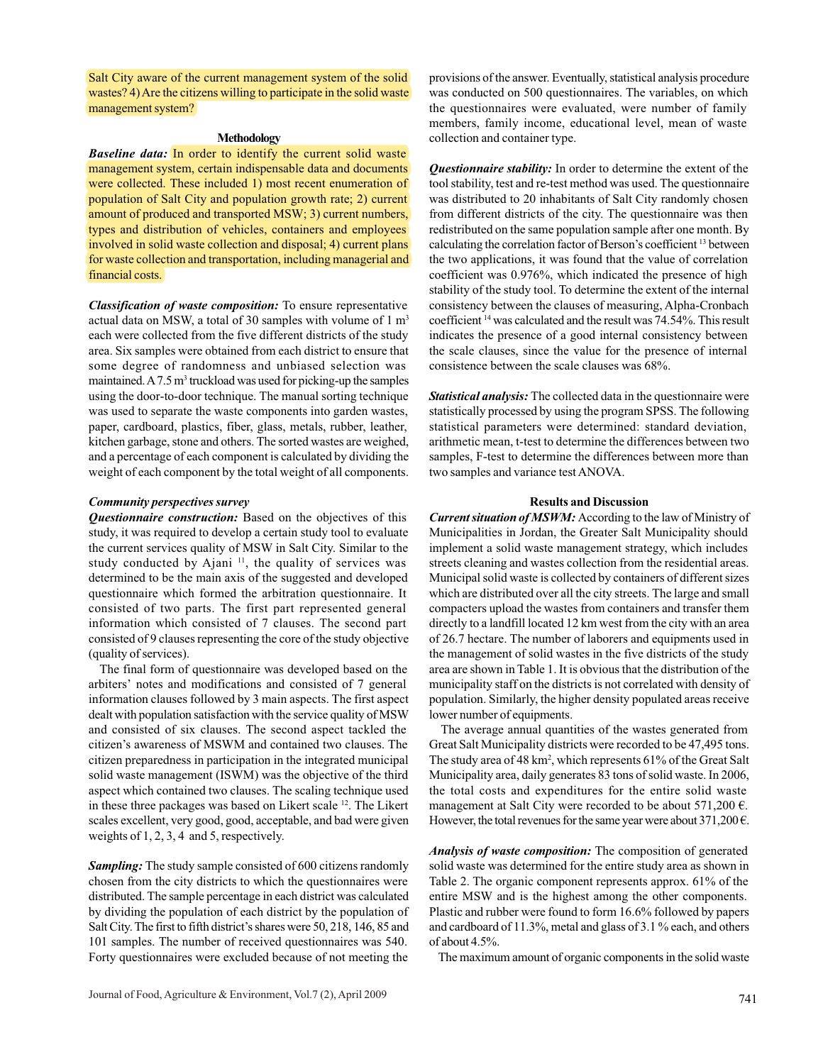Salt City aware of the current management system of the solid wastes? 4) Are the citizens willing to participate in the solid waste management system?

#### **Methodology**

*Baseline data:* In order to identify the current solid waste management system, certain indispensable data and documents were collected. These included 1) most recent enumeration of population of Salt City and population growth rate; 2) current amount of produced and transported MSW; 3) current numbers, types and distribution of vehicles, containers and employees involved in solid waste collection and disposal; 4) current plans for waste collection and transportation, including managerial and financial costs.

*Classification of waste composition:* To ensure representative actual data on MSW, a total of 30 samples with volume of  $1 \text{ m}^3$ each were collected from the five different districts of the study area. Six samples were obtained from each district to ensure that some degree of randomness and unbiased selection was maintained. A 7.5 m<sup>3</sup> truckload was used for picking-up the samples using the door-to-door technique. The manual sorting technique was used to separate the waste components into garden wastes, paper, cardboard, plastics, fiber, glass, metals, rubber, leather, kitchen garbage, stone and others. The sorted wastes are weighed, and a percentage of each component is calculated by dividing the weight of each component by the total weight of all components.

#### *Community perspectives survey*

*Questionnaire construction:* Based on the objectives of this study, it was required to develop a certain study tool to evaluate the current services quality of MSW in Salt City. Similar to the study conducted by Ajani<sup>11</sup>, the quality of services was determined to be the main axis of the suggested and developed questionnaire which formed the arbitration questionnaire. It consisted of two parts. The first part represented general information which consisted of 7 clauses. The second part consisted of 9 clauses representing the core of the study objective (quality of services).

 The final form of questionnaire was developed based on the arbiters' notes and modifications and consisted of 7 general information clauses followed by 3 main aspects. The first aspect dealt with population satisfaction with the service quality of MSW and consisted of six clauses. The second aspect tackled the citizen's awareness of MSWM and contained two clauses. The citizen preparedness in participation in the integrated municipal solid waste management (ISWM) was the objective of the third aspect which contained two clauses. The scaling technique used in these three packages was based on Likert scale 12. The Likert scales excellent, very good, good, acceptable, and bad were given weights of 1, 2, 3, 4 and 5, respectively.

*Sampling:* The study sample consisted of 600 citizens randomly chosen from the city districts to which the questionnaires were distributed. The sample percentage in each district was calculated by dividing the population of each district by the population of Salt City. The first to fifth district's shares were 50, 218, 146, 85 and 101 samples. The number of received questionnaires was 540. Forty questionnaires were excluded because of not meeting the

provisions of the answer. Eventually, statistical analysis procedure was conducted on 500 questionnaires. The variables, on which the questionnaires were evaluated, were number of family members, family income, educational level, mean of waste collection and container type.

*Questionnaire stability:* In order to determine the extent of the tool stability, test and re-test method was used. The questionnaire was distributed to 20 inhabitants of Salt City randomly chosen from different districts of the city. The questionnaire was then redistributed on the same population sample after one month. By calculating the correlation factor of Berson's coefficient 13 between the two applications, it was found that the value of correlation coefficient was 0.976%, which indicated the presence of high stability of the study tool. To determine the extent of the internal consistency between the clauses of measuring, Alpha-Cronbach coefficient 14 was calculated and the result was 74.54%. This result indicates the presence of a good internal consistency between the scale clauses, since the value for the presence of internal consistence between the scale clauses was 68%.

*Statistical analysis:* The collected data in the questionnaire were statistically processed by using the program SPSS. The following statistical parameters were determined: standard deviation, arithmetic mean, t-test to determine the differences between two samples, F-test to determine the differences between more than two samples and variance test ANOVA.

#### **Results and Discussion**

*Current situation of MSWM:* According to the law of Ministry of Municipalities in Jordan, the Greater Salt Municipality should implement a solid waste management strategy, which includes streets cleaning and wastes collection from the residential areas. Municipal solid waste is collected by containers of different sizes which are distributed over all the city streets. The large and small compacters upload the wastes from containers and transfer them directly to a landfill located 12 km west from the city with an area of 26.7 hectare. The number of laborers and equipments used in the management of solid wastes in the five districts of the study area are shown in Table 1. It is obvious that the distribution of the municipality staff on the districts is not correlated with density of population. Similarly, the higher density populated areas receive lower number of equipments.

 The average annual quantities of the wastes generated from Great Salt Municipality districts were recorded to be 47,495 tons. The study area of 48 km<sup>2</sup>, which represents 61% of the Great Salt Municipality area, daily generates 83 tons of solid waste. In 2006, the total costs and expenditures for the entire solid waste management at Salt City were recorded to be about 571,200 €. However, the total revenues for the same year were about  $371,200 \in$ .

*Analysis of waste composition:* The composition of generated solid waste was determined for the entire study area as shown in Table 2. The organic component represents approx. 61% of the entire MSW and is the highest among the other components. Plastic and rubber were found to form 16.6% followed by papers and cardboard of 11.3%, metal and glass of 3.1 % each, and others of about 4.5%.

The maximum amount of organic components in the solid waste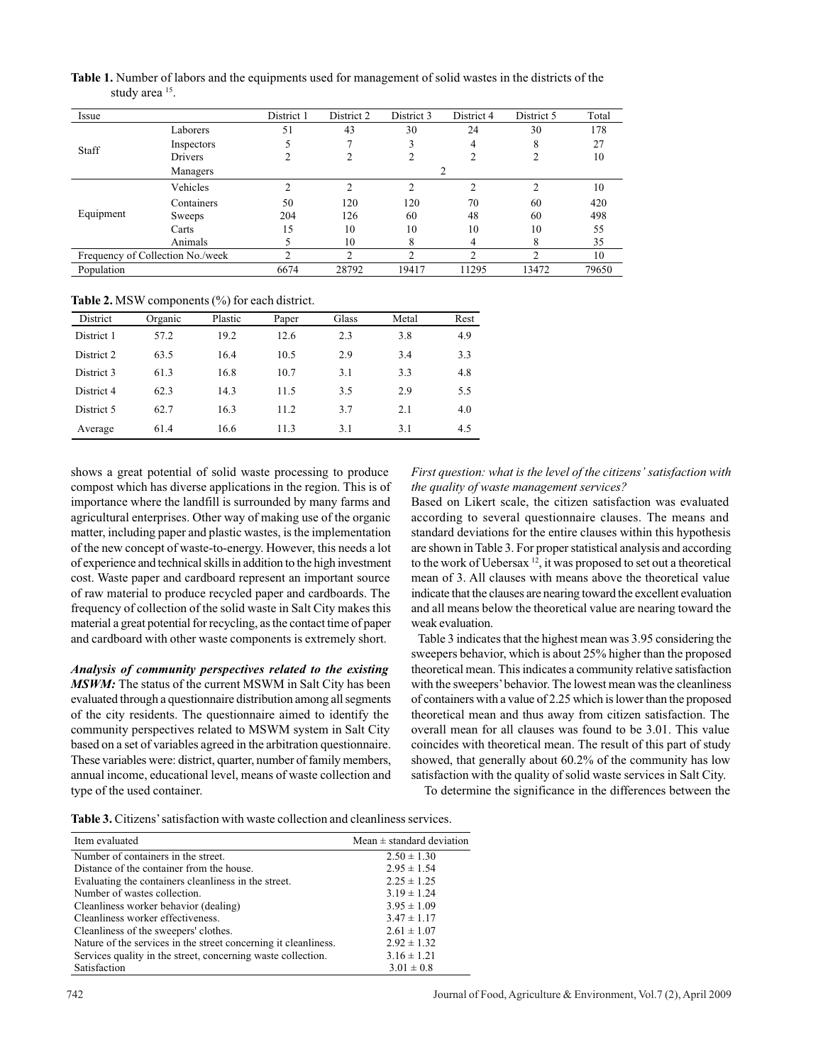| Issue                            |            | District 1    | District 2     | District 3     | District 4     | District 5 | Total |
|----------------------------------|------------|---------------|----------------|----------------|----------------|------------|-------|
|                                  | Laborers   | 51            | 43             | 30             | 24             | 30         | 178   |
| Staff                            | Inspectors |               |                | 3              | 4              | 8          | 27    |
|                                  | Drivers    |               |                | 2              | 2              |            | 10    |
|                                  | Managers   |               |                |                | $\overline{c}$ |            |       |
|                                  | Vehicles   | ↑             | 2              | $\overline{c}$ | 2              | ↑          | 10    |
|                                  | Containers | 50            | 120            | 120            | 70             | 60         | 420   |
| Equipment                        | Sweeps     | 204           | 126            | 60             | 48             | 60         | 498   |
|                                  | Carts      | 15            | 10             | 10             | 10             | 10         | 55    |
|                                  | Animals    |               | 10             | 8              | 4              | 8          | 35    |
| Frequency of Collection No./week |            | $\mathcal{L}$ | $\overline{c}$ | $\mathcal{D}$  | C              | C          | 10    |
| Population                       |            | 6674          | 28792          | 19417          | 11295          | 13472      | 79650 |

**Table 1.** Number of labors and the equipments used for management of solid wastes in the districts of the study area 15.

**Table 2.** MSW components (%) for each district.

| District   | Organic | Plastic | Paper | Glass | Metal | Rest |
|------------|---------|---------|-------|-------|-------|------|
| District 1 | 57.2    | 19.2    | 12.6  | 2.3   | 3.8   | 4.9  |
| District 2 | 63.5    | 16.4    | 10.5  | 2.9   | 3.4   | 3.3  |
| District 3 | 61.3    | 16.8    | 10.7  | 3.1   | 3.3   | 4.8  |
| District 4 | 62.3    | 14.3    | 11.5  | 3.5   | 2.9   | 5.5  |
| District 5 | 62.7    | 16.3    | 11.2  | 3.7   | 2.1   | 4.0  |
| Average    | 61.4    | 16.6    | 11.3  | 3.1   | 3.1   | 4.5  |

shows a great potential of solid waste processing to produce compost which has diverse applications in the region. This is of importance where the landfill is surrounded by many farms and agricultural enterprises. Other way of making use of the organic matter, including paper and plastic wastes, is the implementation of the new concept of waste-to-energy. However, this needs a lot of experience and technical skills in addition to the high investment cost. Waste paper and cardboard represent an important source of raw material to produce recycled paper and cardboards. The frequency of collection of the solid waste in Salt City makes this material a great potential for recycling, as the contact time of paper and cardboard with other waste components is extremely short.

*Analysis of community perspectives related to the existing MSWM:* The status of the current MSWM in Salt City has been evaluated through a questionnaire distribution among all segments of the city residents. The questionnaire aimed to identify the community perspectives related to MSWM system in Salt City based on a set of variables agreed in the arbitration questionnaire. These variables were: district, quarter, number of family members, annual income, educational level, means of waste collection and type of the used container.

*First question: what is the level of the citizens' satisfaction with the quality of waste management services?*

Based on Likert scale, the citizen satisfaction was evaluated according to several questionnaire clauses. The means and standard deviations for the entire clauses within this hypothesis are shown in Table 3. For proper statistical analysis and according to the work of Uebersax  $12$ , it was proposed to set out a theoretical mean of 3. All clauses with means above the theoretical value indicate that the clauses are nearing toward the excellent evaluation and all means below the theoretical value are nearing toward the weak evaluation.

 Table 3 indicates that the highest mean was 3.95 considering the sweepers behavior, which is about 25% higher than the proposed theoretical mean. This indicates a community relative satisfaction with the sweepers' behavior. The lowest mean was the cleanliness of containers with a value of 2.25 which is lower than the proposed theoretical mean and thus away from citizen satisfaction. The overall mean for all clauses was found to be 3.01. This value coincides with theoretical mean. The result of this part of study showed, that generally about 60.2% of the community has low satisfaction with the quality of solid waste services in Salt City.

To determine the significance in the differences between the

**Table 3.** Citizens' satisfaction with waste collection and cleanliness services.

| Item evaluated                                                  | Mean $\pm$ standard deviation |
|-----------------------------------------------------------------|-------------------------------|
| Number of containers in the street.                             | $2.50 \pm 1.30$               |
| Distance of the container from the house.                       | $2.95 \pm 1.54$               |
| Evaluating the containers cleanliness in the street.            | $2.25 \pm 1.25$               |
| Number of wastes collection.                                    | $3.19 \pm 1.24$               |
| Cleanliness worker behavior (dealing)                           | $3.95 \pm 1.09$               |
| Cleanliness worker effectiveness.                               | $3.47 \pm 1.17$               |
| Cleanliness of the sweepers' clothes.                           | $2.61 \pm 1.07$               |
| Nature of the services in the street concerning it cleanliness. | $2.92 \pm 1.32$               |
| Services quality in the street, concerning waste collection.    | $3.16 \pm 1.21$               |
| Satisfaction                                                    | $3.01 \pm 0.8$                |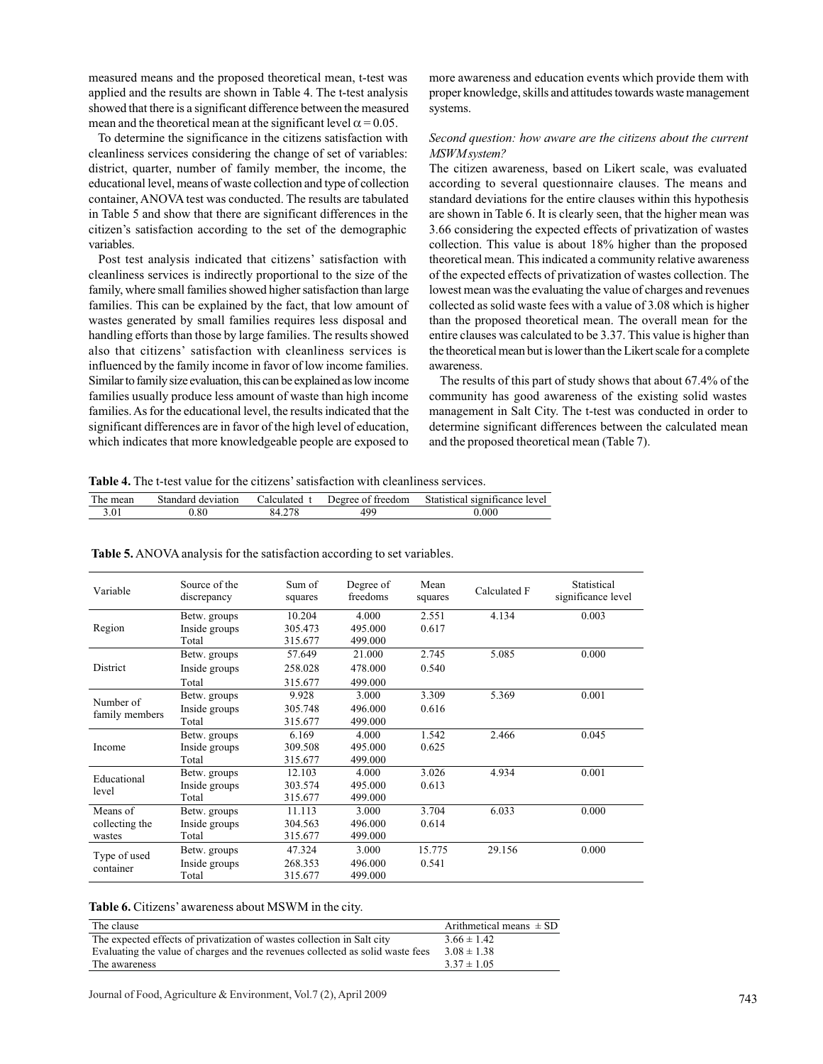measured means and the proposed theoretical mean, t-test was applied and the results are shown in Table 4. The t-test analysis showed that there is a significant difference between the measured mean and the theoretical mean at the significant level  $\alpha$  = 0.05.

 To determine the significance in the citizens satisfaction with cleanliness services considering the change of set of variables: district, quarter, number of family member, the income, the educational level, means of waste collection and type of collection container, ANOVA test was conducted. The results are tabulated in Table 5 and show that there are significant differences in the citizen's satisfaction according to the set of the demographic variables.

 Post test analysis indicated that citizens' satisfaction with cleanliness services is indirectly proportional to the size of the family, where small families showed higher satisfaction than large families. This can be explained by the fact, that low amount of wastes generated by small families requires less disposal and handling efforts than those by large families. The results showed also that citizens' satisfaction with cleanliness services is influenced by the family income in favor of low income families. Similar to family size evaluation, this can be explained as low income families usually produce less amount of waste than high income families. As for the educational level, the results indicated that the significant differences are in favor of the high level of education, which indicates that more knowledgeable people are exposed to

more awareness and education events which provide them with proper knowledge, skills and attitudes towards waste management systems.

## *Second question: how aware are the citizens about the current MSWM system?*

The citizen awareness, based on Likert scale, was evaluated according to several questionnaire clauses. The means and standard deviations for the entire clauses within this hypothesis are shown in Table 6. It is clearly seen, that the higher mean was 3.66 considering the expected effects of privatization of wastes collection. This value is about 18% higher than the proposed theoretical mean. This indicated a community relative awareness of the expected effects of privatization of wastes collection. The lowest mean was the evaluating the value of charges and revenues collected as solid waste fees with a value of 3.08 which is higher than the proposed theoretical mean. The overall mean for the entire clauses was calculated to be 3.37. This value is higher than the theoretical mean but is lower than the Likert scale for a complete awareness.

 The results of this part of study shows that about 67.4% of the community has good awareness of the existing solid wastes management in Salt City. The t-test was conducted in order to determine significant differences between the calculated mean and the proposed theoretical mean (Table 7).

**Table 4.** The t-test value for the citizens' satisfaction with cleanliness services.

| The mean | Standard deviation | ∠alculated | Degree of freedom | Statistical significance level |
|----------|--------------------|------------|-------------------|--------------------------------|
| 3.01     | 0.80               |            | 499               | 0.000                          |

| Variable                             | Source of the<br>discrepancy           | Sum of<br>squares            | Degree of<br>freedoms        | Mean<br>squares | Calculated F | Statistical<br>significance level |
|--------------------------------------|----------------------------------------|------------------------------|------------------------------|-----------------|--------------|-----------------------------------|
| Region                               | Betw. groups<br>Inside groups<br>Total | 10.204<br>305.473<br>315.677 | 4.000<br>495.000<br>499.000  | 2.551<br>0.617  | 4.134        | 0.003                             |
| <b>District</b>                      | Betw. groups<br>Inside groups<br>Total | 57.649<br>258.028<br>315.677 | 21.000<br>478.000<br>499.000 | 2.745<br>0.540  | 5.085        | 0.000                             |
| Number of<br>family members          | Betw. groups<br>Inside groups<br>Total | 9.928<br>305.748<br>315.677  | 3.000<br>496.000<br>499.000  | 3.309<br>0.616  | 5.369        | 0.001                             |
| Income                               | Betw. groups<br>Inside groups<br>Total | 6.169<br>309.508<br>315.677  | 4.000<br>495.000<br>499.000  | 1.542<br>0.625  | 2.466        | 0.045                             |
| Educational<br>level                 | Betw. groups<br>Inside groups<br>Total | 12.103<br>303.574<br>315.677 | 4.000<br>495.000<br>499.000  | 3.026<br>0.613  | 4.934        | 0.001                             |
| Means of<br>collecting the<br>wastes | Betw. groups<br>Inside groups<br>Total | 11.113<br>304.563<br>315.677 | 3.000<br>496.000<br>499.000  | 3.704<br>0.614  | 6.033        | 0.000                             |
| Type of used<br>container            | Betw. groups<br>Inside groups<br>Total | 47.324<br>268.353<br>315.677 | 3.000<br>496.000<br>499.000  | 15.775<br>0.541 | 29.156       | 0.000                             |

**Table 5.** ANOVA analysis for the satisfaction according to set variables.

**Table 6.** Citizens' awareness about MSWM in the city.

| The clause                                                                     | Arithmetical means $\pm$ SD |
|--------------------------------------------------------------------------------|-----------------------------|
| The expected effects of privatization of wastes collection in Salt city        | $3.66 \pm 1.42$             |
| Evaluating the value of charges and the revenues collected as solid waste fees | $3.08 \pm 1.38$             |
| The awareness                                                                  | $3.37 \pm 1.05$             |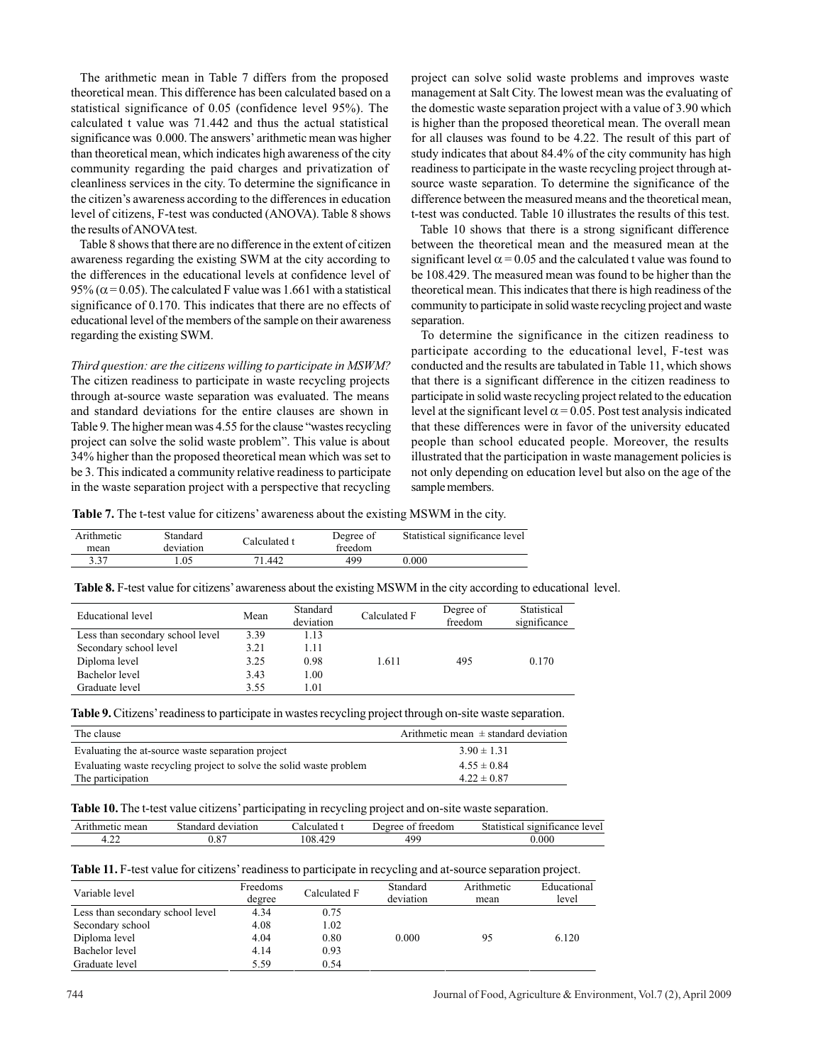The arithmetic mean in Table 7 differs from the proposed theoretical mean. This difference has been calculated based on a statistical significance of 0.05 (confidence level 95%). The calculated t value was 71.442 and thus the actual statistical significance was 0.000. The answers' arithmetic mean was higher than theoretical mean, which indicates high awareness of the city community regarding the paid charges and privatization of cleanliness services in the city. To determine the significance in the citizen's awareness according to the differences in education level of citizens, F-test was conducted (ANOVA). Table 8 shows the results of ANOVA test.

 Table 8 shows that there are no difference in the extent of citizen awareness regarding the existing SWM at the city according to the differences in the educational levels at confidence level of 95% ( $\alpha$  = 0.05). The calculated F value was 1.661 with a statistical significance of 0.170. This indicates that there are no effects of educational level of the members of the sample on their awareness regarding the existing SWM.

*Third question: are the citizens willing to participate in MSWM?* The citizen readiness to participate in waste recycling projects through at-source waste separation was evaluated. The means and standard deviations for the entire clauses are shown in Table 9. The higher mean was 4.55 for the clause "wastes recycling project can solve the solid waste problem". This value is about 34% higher than the proposed theoretical mean which was set to be 3. This indicated a community relative readiness to participate in the waste separation project with a perspective that recycling

project can solve solid waste problems and improves waste management at Salt City. The lowest mean was the evaluating of the domestic waste separation project with a value of 3.90 which is higher than the proposed theoretical mean. The overall mean for all clauses was found to be 4.22. The result of this part of study indicates that about 84.4% of the city community has high readiness to participate in the waste recycling project through atsource waste separation. To determine the significance of the difference between the measured means and the theoretical mean, t-test was conducted. Table 10 illustrates the results of this test.

 Table 10 shows that there is a strong significant difference between the theoretical mean and the measured mean at the significant level  $\alpha$  = 0.05 and the calculated t value was found to be 108.429. The measured mean was found to be higher than the theoretical mean. This indicates that there is high readiness of the community to participate in solid waste recycling project and waste separation.

 To determine the significance in the citizen readiness to participate according to the educational level, F-test was conducted and the results are tabulated in Table 11, which shows that there is a significant difference in the citizen readiness to participate in solid waste recycling project related to the education level at the significant level  $\alpha$  = 0.05. Post test analysis indicated that these differences were in favor of the university educated people than school educated people. Moreover, the results illustrated that the participation in waste management policies is not only depending on education level but also on the age of the sample members.

**Table 7.** The t-test value for citizens' awareness about the existing MSWM in the city.

| Arithmetic<br>mean | Standard<br>deviation | Calculated t | Degree of<br>freedom | Statistical significance level |
|--------------------|-----------------------|--------------|----------------------|--------------------------------|
| 3.37               | .05                   | 71.442       | 499                  | 0.000                          |

**Table 8.** F-test value for citizens' awareness about the existing MSWM in the city according to educational level.

| Educational level                | Mean | Standard<br>deviation | Calculated F | Degree of<br>freedom | Statistical<br>significance |
|----------------------------------|------|-----------------------|--------------|----------------------|-----------------------------|
| Less than secondary school level | 3.39 | 1.13                  |              |                      |                             |
| Secondary school level           | 3.21 | 1.11                  |              |                      |                             |
| Diploma level                    | 3.25 | 0.98                  | 1.611        | 495                  | 0.170                       |
| Bachelor level                   | 3.43 | 1.00                  |              |                      |                             |
| Graduate level                   | 3.55 | 1.01                  |              |                      |                             |

**Table 9.** Citizens' readiness to participate in wastes recycling project through on-site waste separation.

| The clause                                                          | Arithmetic mean $\pm$ standard deviation |
|---------------------------------------------------------------------|------------------------------------------|
| Evaluating the at-source waste separation project                   | $3.90 \pm 1.31$                          |
| Evaluating waste recycling project to solve the solid waste problem | $4.55 \pm 0.84$                          |
| The participation                                                   | $4.22 \pm 0.87$                          |

**Table 10.** The t-test value citizens' participating in recycling project and on-site waste separation.

| mean<br>A1 | . tondord<br>ation<br>devia<br>поа<br><b>116</b> | alate <i>r</i><br>ar<br>50. I | treedom<br>. Jeoree | - 200<br>leve.<br>$\sim$<br>'cance<br>010m<br>$\sim$ |
|------------|--------------------------------------------------|-------------------------------|---------------------|------------------------------------------------------|
| `          | $\Omega$<br>υ.ο                                  | 10C<br>o۶                     | 400                 | .000                                                 |
|            |                                                  |                               |                     |                                                      |

**Table 11.** F-test value for citizens' readiness to participate in recycling and at-source separation project.

| Variable level                   | Freedoms<br>degree | Calculated F | Standard<br>deviation | Arithmetic<br>mean | Educational<br>level |
|----------------------------------|--------------------|--------------|-----------------------|--------------------|----------------------|
| Less than secondary school level | 4.34               | 0.75         |                       |                    |                      |
| Secondary school                 | 4.08               | 1.02         |                       |                    |                      |
| Diploma level                    | 4.04               | 0.80         | 0.000                 | 95                 | 6.120                |
| Bachelor level                   | 4.14               | 0.93         |                       |                    |                      |
| Graduate level                   | 5.59               | 0.54         |                       |                    |                      |